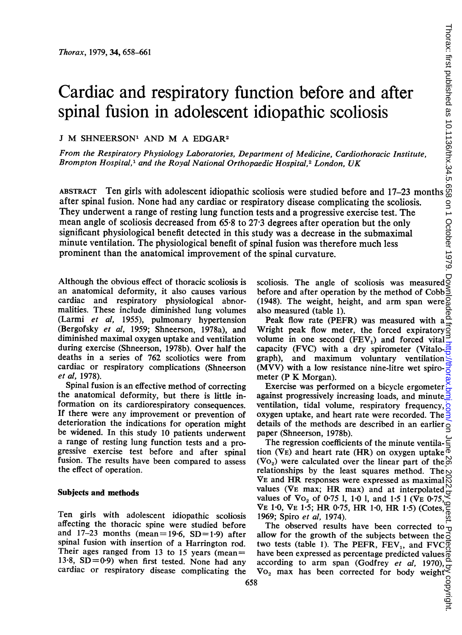# Cardiac and respiratory function before and after spinal fusion in adolescent idiopathic scoliosis

## <sup>J</sup> M SHNEERSON' AND M A EDGAR2

From the Respiratory Physiology Laboratories, Department of Medicine, Cardiothoracic Institute, Brompton Hospital,<sup>1</sup> and the Royal National Orthopaedic Hospital,<sup>2</sup> London, UK

ABSTRACT Ten girls with adolescent idiopathic scoliosis were studied before and 17-23 month after spinal fusion. None had any cardiac or respiratory disease complicating the scoliosis. They underwent <sup>a</sup> range of resting lung function tests and a progressive exercise test. The mean angle of scoliosis decreased from 65.8 to 27.3 degrees after operation but the only significant physiological benefit detected in this study was a decrease in the submaximal minute ventilation. The physiological benefit of spinal fusion was therefore much less prominent than the anatomical improvement of the spinal curvature.

Although the obvious effect of thoracic scoliosis is an anatomical deformity, it also causes various cardiac and respiratory physiological abnormalities. These include diminished lung volumes (Larmi et al, 1955), pulmonary hypertension (Bergofsky et al, 1959; Shneerson, 1978a), and diminished maximal oxygen uptake and ventilation during exercise (Shneerson, 1978b). Over half the deaths in a series of 762 scoliotics were from cardiac or respiratory complications (Shneerson et al, 1978).

Spinal fusion is an effective method of correcting the anatomical deformity, but there is little information on its cardiorespiratory consequences. If there were any improvement or prevention of deterioration the indications for operation might be widened. In this study 10 patients underwent a range of resting lung function tests and a progressive exercise test before and after spinal fusion. The results have been compared to assess the effect of operation.

### Subjects and methods

Ten girls with adolescent idiopathic scoliosis affecting the thoracic spine were studied before and  $17-23$  months (mean = 19.6, SD = 1.9) after spinal fusion with insertion of a Harrington rod. Their ages ranged from 13 to 15 years (mean  $=$ 13.8,  $SD = 0.9$ ) when first tested. None had any cardiac or respiratory disease complicating the scoliosis. The angle of scoliosis was measured before and after operation by the method of Cobb (1948). The weight, height, and arm span were  $\%$ also measured (table 1).

Peak flow rate (PEFR) was measured with a Wright peak flow meter, the forced expiratory<sup>2</sup> volume in one second  $(FEV_1)$  and forced vital capacity (FVC) with a dry spirometer (Vitalograph), and maximum voluntary ventilation (MVV) with a low resistance nine-litre wet spirometer (P K Morgan).

Exercise was performed on a bicycle ergometer against progressively increasing loads, and minute ventilation, tidal volume, respiratory frequency, oxygen uptake, and heart rate were recorded. The details of the methods are described in an earlier<sub>o</sub> paper (Shneerson, 1978b).

The regression coefficients of the minute ventila- $\Xi$ tion (VE) and heart rate (HR) on oxygen uptake  $\overline{\Phi}$ (Vo<sub>2</sub>) were calculated over the linear part of the  $\stackrel{\sim}{\circ}$ relationships by the least squares method. The  $\sim$ VE and HR responses were expressed as maximal  $\%$ values (VE max; HR max) and at interpolated values of  $V_0$  of 0.75 1, 1.0 1, and 1.5 1 ( $V_E$  0.75, VE 1.0, VE 1.5; HR 0.75, HR 1.0, HR 1.5) (Cotes, 1969; Spiro et al, 1974).

The observed results have been corrected to allow for the growth of the subjects between the  $\bar{o}$ two tests (table 1). The PEFR,  $FEV_1$ , and  $FVC_0^{\pi}$ have been expressed as percentage predicted values  $\frac{3}{6}$ according to arm span (Godfrey et al, 1970).  $Vo<sub>2</sub>$  max has been corrected for body weight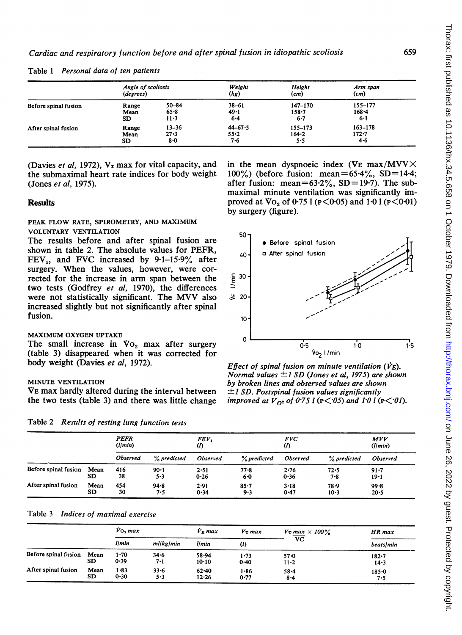| Before spinal fusion | Angle of scoliosis<br>(degrees) |                              | Weight<br>(kg)                 | Height<br>(cm)                      | Arm span<br>(cm)                |  |
|----------------------|---------------------------------|------------------------------|--------------------------------|-------------------------------------|---------------------------------|--|
|                      | Range<br>Mean<br>SD             | 50-84<br>$65 - 8$<br>11.3    | $38 - 61$<br>49.1<br>$6 - 4$   | $147 - 170$<br>$158 - 7$<br>$6 - 7$ | 155-177<br>$168 - 4$<br>6.1     |  |
| After spinal fusion  | Range<br>Mean<br>SD             | $13 - 36$<br>$27 - 3$<br>8.0 | $44 - 67.5$<br>$55 - 2$<br>7.6 | 155-173<br>164.2<br>5.5             | $163 - 178$<br>$172 - 7$<br>4.6 |  |

Table 1 Personal data of ten patients

(Jones *et al*, 1975). **after fusion:** mean= $63.2\%$ , SD= 19.7). The sub-

# PEAK FLOW RATE, SPIROMETRY, AND MAXIMUM VOLUNTARY VENTILATION 50

The results before and after spinal fusion are  $\begin{array}{c} 0 \end{array}$  Before spinal fusion shown in table 2. The absolute values for PEFR, shown in table 2. The absolute values for PEFR,  $40 - 4$  a After spinal fusion FEV<sub>1</sub>, and FVC increased by 9.1–15.9% after surgery. When the values, however, were cortwo tests (Godfrey *et al*, 1970), the differences rected for the increase in arm span between were not statistically significant. The MVV also  $\approx 20$ increased slightly but not significantly after spinal fusion.  $10^{-1}$ 

# MAXIMUM OXYGEN UPTAKE 0

 $(table 3)$  disappeared when it was corrected for body weight (Davies et al, 1972).  $E$  *Effect of spinal fusion on minute ventilation* ( $\dot{V}$ <sub>E</sub>).

VE max hardly altered during the interval between  $\pm 1$  SD. Postspinal fusion values significantly the two tests (table 3) and there was little change *improved at V*<sub>02</sub> of 0.75 l ( $\epsilon$ < 0.95) and 1.0 l (1)

Table 2 Results of resting lung function tests

|                      |      | <b>PEFR</b><br>(l/min) |             | FEV,<br>(I)     |             | <i>FVC</i><br>$\omega$ |             | MVV<br>(l/min)  |
|----------------------|------|------------------------|-------------|-----------------|-------------|------------------------|-------------|-----------------|
|                      |      | <b>Observed</b>        | % predicted | <b>Observed</b> | % predicted | <b>Observed</b>        | % predicted | <b>Observed</b> |
| Before spinal fusion | Mean | 416                    | $90 - 1$    | 2.51            | $77 - 8$    | 2.76                   | 72.5        | $91 - 7$        |
|                      | SD   | 38                     | 5.3         | 0.26            | $6 - 0$     | 0.36                   | $7 - 8$     | $19 - 1$        |
| After spinal fusion  | Mean | 454                    | $94 - 8$    | 2.91            | $85 - 7$    | $3 - 18$               | 78.9        | $99 - 8$        |
|                      | SD   | 30                     | 7.5         | 0.34            | 9.3         | 0.47                   | $10 - 3$    | $20 - 5$        |

#### Table 3 Indices of maximal exercise

|                           |             | $V_0$ , max  |                     | $\dot{V}$ <sub>R</sub> max | $V_T$ max        | $V_T$ max $\times$ 100%           | HR max                |  |
|---------------------------|-------------|--------------|---------------------|----------------------------|------------------|-----------------------------------|-----------------------|--|
|                           |             | llmin        | ml kg min           | <i>llmin</i>               | $\omega$         | $\overline{\mathbf{v}\mathbf{c}}$ | <b>beats/min</b>      |  |
| Before spinal fusion Mean | SD          | 1.70<br>0.39 | $34 - 6$<br>7.1     | 58.94<br>$10 - 10$         | 1.73<br>$0 - 40$ | $57 - 0$<br>$11 - 2$              | $182 - 7$<br>$14 - 3$ |  |
| After spinal fusion       | Mean<br>SD. | 1.83<br>0.30 | $33 - 6$<br>$5 - 3$ | $62 - 40$<br>12.26         | $1 - 86$<br>0.77 | $58 - 4$<br>$8 - 4$               | $185 - 0$<br>7.5      |  |

(Davies *et al*, 1972), V<sub>T</sub> max for vital capacity, and in the mean dyspnoeic index (VE max/MVV $\times$  the submaximal heart rate indices for body weight 100%) (before fusion: mean=65.4%, SD=14.4;  $100\%$ ) (before fusion: mean=65-4%, SD=14-4; maximal minute ventilation was significantly im-**Results proved at Vo<sub>2</sub> of 0.75 1 (P** $\leq$ **0.05) and 1.0 1 (P** $\leq$ **0.01)** by surgery (figure).



Normal values  $\pm$  I SD (Jones et al, 1975) are shown MINUTE VENTILATION by broken lines and observed values are shown improved at  $V_{\Omega^2}$  of 0.75 l (P $\lt$  05) and 10 l (P $\lt$  01).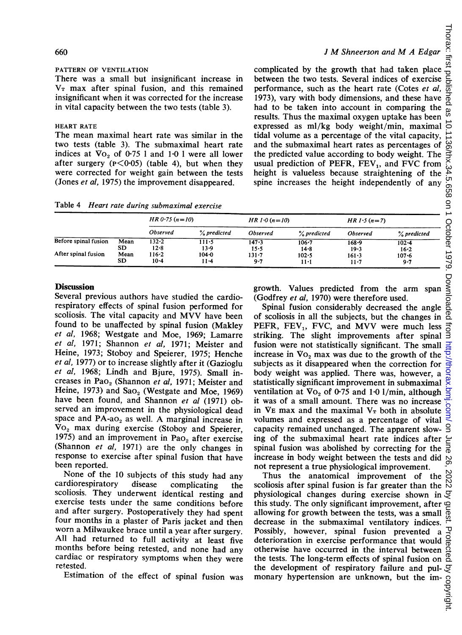#### 660)

#### PATTERN OF VENTILATION

There was a small but insignificant increase in  $V_T$  max after spinal fusion, and this remained insignificant when it was corrected for the increase in vital capacity between the two tests (table 3).

#### HEART RATE

The mean maximal heart rate was similar in the two tests (table 3). The submaximal heart rate indices at  $\sqrt{V_0}$  of 0.75 1 and 1.0 1 were all lower after surgery  $(P<0.05)$  (table 4), but when they were corrected for weight gain between the tests (Jones et al, 1975) the improvement disappeared.

complicated by the growth that had taken place between the two tests. Several indices of exercise performance, such as the heart rate (Cotes et al, 1973), vary with body dimensions, and these have had to be taken into account in comparing the results. Thus the maximal oxygen uptake has been expressed as ml/kg body weight/min, maximal tidal volume as a percentage of the vital capacity, and the submaximal heart rates as percentages of the predicted value according to body weight. The usual prediction of PEFR,  $FEV<sub>1</sub>$ , and FVC from height is valueless because straightening of the spine increases the height independently of any

<sup>J</sup> M Shneerson and M <sup>A</sup> Edgar

Table 4 Heart rate during submaximat exercise

| and the submaximal heart rates as percentages of $\frac{\omega}{\Omega}$<br>two tests (table 3). The submaximal heart rate<br>indices at $\sqrt{V_0}$ of 0.75 1 and 1.0 1 were all lower<br>the predicted value according to body weight. The $\Rightarrow$<br>after surgery ( $p < 0.05$ ) (table 4), but when they<br>usual prediction of PEFR, $FEV_1$ , and FVC from $\sum_{i=1}^{N}$<br>were corrected for weight gain between the tests<br>height is valueless because straightening of the $\ddot{\uparrow}$<br>(Jones et al, 1975) the improvement disappeared.<br>spine increases the height independently of any $\frac{1}{6}$ |      |                  |             |                 |                                            |                 |                                                                                                                               |  |  |
|------------------------------------------------------------------------------------------------------------------------------------------------------------------------------------------------------------------------------------------------------------------------------------------------------------------------------------------------------------------------------------------------------------------------------------------------------------------------------------------------------------------------------------------------------------------------------------------------------------------------------------------|------|------------------|-------------|-----------------|--------------------------------------------|-----------------|-------------------------------------------------------------------------------------------------------------------------------|--|--|
| Table 4 Heart rate during submaximal exercise                                                                                                                                                                                                                                                                                                                                                                                                                                                                                                                                                                                            |      | $HR 0.75 (n=10)$ |             |                 |                                            |                 | $\mathsf{S}$                                                                                                                  |  |  |
|                                                                                                                                                                                                                                                                                                                                                                                                                                                                                                                                                                                                                                          |      |                  |             |                 | $HR 1.0 (n=10)$                            |                 | $HR 1.5 (n=7)$<br>October                                                                                                     |  |  |
|                                                                                                                                                                                                                                                                                                                                                                                                                                                                                                                                                                                                                                          |      | <b>Observed</b>  | % predicted | <b>Observed</b> | % predicted                                | <b>Observed</b> | % predicted                                                                                                                   |  |  |
| Before spinal fusion                                                                                                                                                                                                                                                                                                                                                                                                                                                                                                                                                                                                                     | Mean | 132.2            | 111.5       | 147.3           | $106 - 7$                                  | 168.9           | $102 - 4$                                                                                                                     |  |  |
|                                                                                                                                                                                                                                                                                                                                                                                                                                                                                                                                                                                                                                          | SD.  | $12 - 8$         | $13-9$      | $15 - 5$        | $14 - 8$                                   | 19.3            | $16 - 2$                                                                                                                      |  |  |
| After spinal fusion                                                                                                                                                                                                                                                                                                                                                                                                                                                                                                                                                                                                                      | Mean | $116 - 2$        | $104 - 0$   | $131 - 7$       | $102 - 5$                                  | $161 - 3$       | $\overline{2}$<br>$107 - 6$                                                                                                   |  |  |
|                                                                                                                                                                                                                                                                                                                                                                                                                                                                                                                                                                                                                                          | SD   | $10 - 4$         | $11 - 4$    | $9 - 7$         | $11-1$                                     | $11 - 7$        | $9 - 7$<br>ဖ                                                                                                                  |  |  |
| <b>Discussion</b><br>Several previous authors have studied the cardio-<br>respiratory effects of spinal fusion performed for                                                                                                                                                                                                                                                                                                                                                                                                                                                                                                             |      |                  |             |                 | (Godfrey et al, 1970) were therefore used. |                 | Downl<br>growth. Values predicted from the arm span<br>Spinal fusion considerably decreased the angle $\frac{\delta}{\delta}$ |  |  |

#### **Discussion**

Several previous authors have studied the cardiorespiratory effects of spinal fusion performed for scoliosis. The vital capacity and MVV have been found to be unaffected by spinal fusion (Makley et al, 1968; Westgate and Moe, 1969; Lamarre et al, 1971; Shannon et al, 1971; Meister and Heine, 1973; Stoboy and Speierer, 1975; Henche et al, 1977) or to increase slightly after it (Gazioglu et al, 1968; Lindh and Bjure, 1975). Small increases in Pao<sub>2</sub> (Shannon et al, 1971; Meister and Heine, 1973) and  $Sao_2$  (Westgate and Moe, 1969) have been found, and Shannon et al (1971) observed an improvement in the physiological dead space and  $PA-aO<sub>2</sub>$  as well. A marginal increase in  $\rm{Vo}_2$  max during exercise (Stoboy and Speierer, 1975) and an improvement in Pa $o_2$  after exercise (Shannon et al, 1971) are the only changes in response to exercise after spinal fusion that have been reported.

None of the 10 subjects of this study had any cardiorespiratory disease complicating the scoliosis. They underwent identical resting and exercise tests under the same conditions before and after surgery. Postoperatively they had spent four months in a plaster of Paris jacket and then worn a Milwaukee brace until a year after surgery. All had returned to full activity at least five months before being retested, and none had any cardiac or respiratory symptoms when they were retested.

Estimation of the effect of spinal fusion was

of scoliosis in all the subjects, but the changes in PEFR, FEV<sub>1</sub>, FVC, and MVV were much less PEFR, FEV<sub>1</sub>, FVC, and MVV were much less  $\overrightarrow{5}$  striking. The slight improvements after spinal  $\overrightarrow{3}$ fusion were not statistically significant. The small increase in  $\mathbf{V}o_2$  max was due to the growth of the subjects as it disappeared when the correction for body weight was applied. There was, however, a statistically significant improvement in submaximal ventilation at  $\sqrt{V_0}$  of 0.75 and 1.0 1/min, although it was of a small amount. There was no increase in  $V_{E}$  max and the maximal  $V_{T}$  both in absolute volumes and expressed as a percentage of vital capacity remained unchanged. The apparent slowing of the submaximal heart rate indices after spinal fusion was abolished by correcting for the increase in body weight between the tests and did not represent a true physiological improvement.

Thus the anatomical improvement of the scoliosis after spinal fusion is far greater than the physiological changes during exercise shown in  $\mathcal{F}$ this study. The only significant improvement, after allowing for growth between the tests, was a small decrease in the submaximal ventilatory indices. Possibly, however, spinal fusion prevented a deterioration in exercise performance that would otherwise have occurred in the interval between the tests. The long-term effects of spinal fusion on the development of respiratory failure and pulmonary hypertension are unknown, but the im-